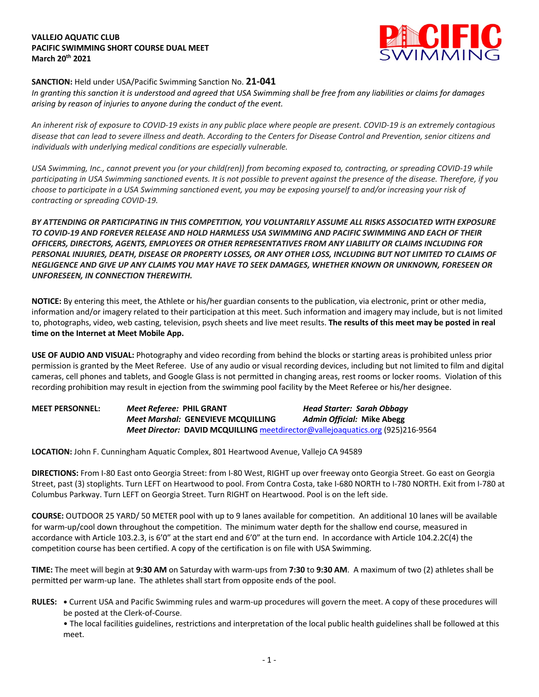## **VALLEJO AQUATIC CLUB PACIFIC SWIMMING SHORT COURSE DUAL MEET March 20th 2021**



## **SANCTION:** Held under USA/Pacific Swimming Sanction No. **21-041**

*In granting this sanction it is understood and agreed that USA Swimming shall be free from any liabilities or claims for damages arising by reason of injuries to anyone during the conduct of the event.* 

*An inherent risk of exposure to COVID-19 exists in any public place where people are present. COVID-19 is an extremely contagious disease that can lead to severe illness and death. According to the Centers for Disease Control and Prevention, senior citizens and individuals with underlying medical conditions are especially vulnerable.*

*USA Swimming, Inc., cannot prevent you (or your child(ren)) from becoming exposed to, contracting, or spreading COVID-19 while participating in USA Swimming sanctioned events. It is not possible to prevent against the presence of the disease. Therefore, if you choose to participate in a USA Swimming sanctioned event, you may be exposing yourself to and/or increasing your risk of contracting or spreading COVID-19.*

*BY ATTENDING OR PARTICIPATING IN THIS COMPETITION, YOU VOLUNTARILY ASSUME ALL RISKS ASSOCIATED WITH EXPOSURE TO COVID-19 AND FOREVER RELEASE AND HOLD HARMLESS USA SWIMMING AND PACIFIC SWIMMING AND EACH OF THEIR OFFICERS, DIRECTORS, AGENTS, EMPLOYEES OR OTHER REPRESENTATIVES FROM ANY LIABILITY OR CLAIMS INCLUDING FOR PERSONAL INJURIES, DEATH, DISEASE OR PROPERTY LOSSES, OR ANY OTHER LOSS, INCLUDING BUT NOT LIMITED TO CLAIMS OF NEGLIGENCE AND GIVE UP ANY CLAIMS YOU MAY HAVE TO SEEK DAMAGES, WHETHER KNOWN OR UNKNOWN, FORESEEN OR UNFORESEEN, IN CONNECTION THEREWITH.*

**NOTICE:** By entering this meet, the Athlete or his/her guardian consents to the publication, via electronic, print or other media, information and/or imagery related to their participation at this meet. Such information and imagery may include, but is not limited to, photographs, video, web casting, television, psych sheets and live meet results. **The results of this meet may be posted in real time on the Internet at Meet Mobile App.**

**USE OF AUDIO AND VISUAL:** Photography and video recording from behind the blocks or starting areas is prohibited unless prior permission is granted by the Meet Referee. Use of any audio or visual recording devices, including but not limited to film and digital cameras, cell phones and tablets, and Google Glass is not permitted in changing areas, rest rooms or locker rooms. Violation of this recording prohibition may result in ejection from the swimming pool facility by the Meet Referee or his/her designee.

**MEET PERSONNEL:** *Meet Referee:* **PHIL GRANT** *Head Starter: Sarah Obbagy Meet Marshal:* **GENEVIEVE MCQUILLING** *Admin Official:* **Mike Abegg** *Meet Director:* **DAVID MCQUILLING** meetdirector@vallejoaquatics.org (925)216-9564

**LOCATION:** John F. Cunningham Aquatic Complex, 801 Heartwood Avenue, Vallejo CA 94589

**DIRECTIONS:** From I-80 East onto Georgia Street: from I-80 West, RIGHT up over freeway onto Georgia Street. Go east on Georgia Street, past (3) stoplights. Turn LEFT on Heartwood to pool. From Contra Costa, take I-680 NORTH to I-780 NORTH. Exit from I-780 at Columbus Parkway. Turn LEFT on Georgia Street. Turn RIGHT on Heartwood. Pool is on the left side.

**COURSE:** OUTDOOR 25 YARD/ 50 METER pool with up to 9 lanes available for competition. An additional 10 lanes will be available for warm-up/cool down throughout the competition. The minimum water depth for the shallow end course, measured in accordance with Article 103.2.3, is 6'0" at the start end and 6'0" at the turn end. In accordance with Article 104.2.2C(4) the competition course has been certified. A copy of the certification is on file with USA Swimming.

**TIME:** The meet will begin at **9:30 AM** on Saturday with warm-ups from **7:30** to **9:30 AM**. A maximum of two (2) athletes shall be permitted per warm-up lane. The athletes shall start from opposite ends of the pool.

**RULES: •** Current USA and Pacific Swimming rules and warm-up procedures will govern the meet. A copy of these procedures will be posted at the Clerk-of-Course.

• The local facilities guidelines, restrictions and interpretation of the local public health guidelines shall be followed at this meet.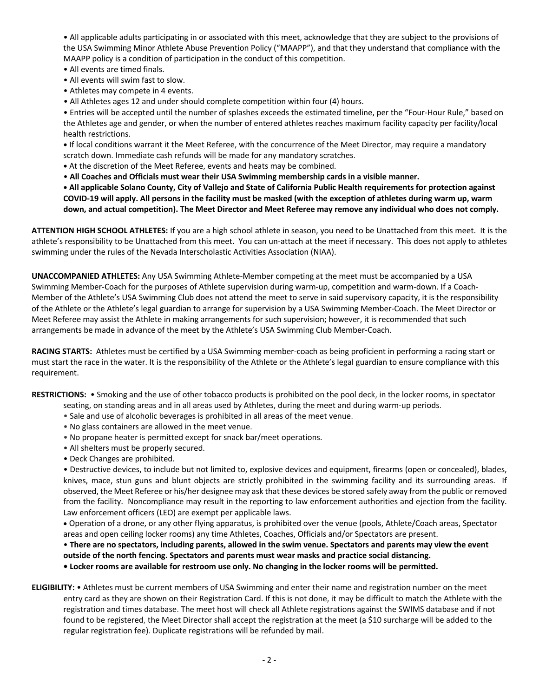• All applicable adults participating in or associated with this meet, acknowledge that they are subject to the provisions of the USA Swimming Minor Athlete Abuse Prevention Policy ("MAAPP"), and that they understand that compliance with the MAAPP policy is a condition of participation in the conduct of this competition.

- All events are timed finals.
- All events will swim fast to slow.
- Athletes may compete in 4 events.
- All Athletes ages 12 and under should complete competition within four (4) hours.

• Entries will be accepted until the number of splashes exceeds the estimated timeline, per the "Four-Hour Rule," based on the Athletes age and gender, or when the number of entered athletes reaches maximum facility capacity per facility/local health restrictions.

**•** If local conditions warrant it the Meet Referee, with the concurrence of the Meet Director, may require a mandatory scratch down. Immediate cash refunds will be made for any mandatory scratches.

- **•** At the discretion of the Meet Referee, events and heats may be combined.
- **All Coaches and Officials must wear their USA Swimming membership cards in a visible manner.**

**• All applicable Solano County, City of Vallejo and State of California Public Health requirements for protection against COVID-19 will apply. All persons in the facility must be masked (with the exception of athletes during warm up, warm down, and actual competition). The Meet Director and Meet Referee may remove any individual who does not comply.**

**ATTENTION HIGH SCHOOL ATHLETES:** If you are a high school athlete in season, you need to be Unattached from this meet. It is the athlete's responsibility to be Unattached from this meet. You can un-attach at the meet if necessary. This does not apply to athletes swimming under the rules of the Nevada Interscholastic Activities Association (NIAA).

**UNACCOMPANIED ATHLETES:** Any USA Swimming Athlete-Member competing at the meet must be accompanied by a USA Swimming Member-Coach for the purposes of Athlete supervision during warm-up, competition and warm-down. If a Coach-Member of the Athlete's USA Swimming Club does not attend the meet to serve in said supervisory capacity, it is the responsibility of the Athlete or the Athlete's legal guardian to arrange for supervision by a USA Swimming Member-Coach. The Meet Director or Meet Referee may assist the Athlete in making arrangements for such supervision; however, it is recommended that such arrangements be made in advance of the meet by the Athlete's USA Swimming Club Member-Coach.

**RACING STARTS:** Athletes must be certified by a USA Swimming member-coach as being proficient in performing a racing start or must start the race in the water. It is the responsibility of the Athlete or the Athlete's legal guardian to ensure compliance with this requirement.

**RESTRICTIONS:** • Smoking and the use of other tobacco products is prohibited on the pool deck, in the locker rooms, in spectator

- seating, on standing areas and in all areas used by Athletes, during the meet and during warm-up periods.
- Sale and use of alcoholic beverages is prohibited in all areas of the meet venue.
- No glass containers are allowed in the meet venue.
- No propane heater is permitted except for snack bar/meet operations.
- All shelters must be properly secured.
- Deck Changes are prohibited.

• Destructive devices, to include but not limited to, explosive devices and equipment, firearms (open or concealed), blades, knives, mace, stun guns and blunt objects are strictly prohibited in the swimming facility and its surrounding areas. If observed, the Meet Referee or his/her designee may ask that these devices be stored safely away from the public or removed from the facility. Noncompliance may result in the reporting to law enforcement authorities and ejection from the facility. Law enforcement officers (LEO) are exempt per applicable laws.

• Operation of a drone, or any other flying apparatus, is prohibited over the venue (pools, Athlete/Coach areas, Spectator areas and open ceiling locker rooms) any time Athletes, Coaches, Officials and/or Spectators are present.

# • **There are no spectators, including parents, allowed in the swim venue. Spectators and parents may view the event outside of the north fencing. Spectators and parents must wear masks and practice social distancing.**

**• Locker rooms are available for restroom use only. No changing in the locker rooms will be permitted.**

**ELIGIBILITY:** • Athletes must be current members of USA Swimming and enter their name and registration number on the meet entry card as they are shown on their Registration Card. If this is not done, it may be difficult to match the Athlete with the registration and times database. The meet host will check all Athlete registrations against the SWIMS database and if not found to be registered, the Meet Director shall accept the registration at the meet (a \$10 surcharge will be added to the regular registration fee). Duplicate registrations will be refunded by mail.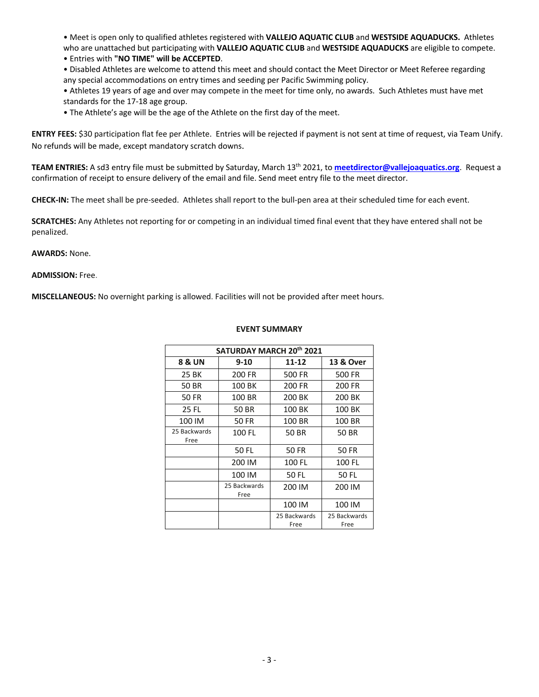• Meet is open only to qualified athletes registered with **VALLEJO AQUATIC CLUB** and **WESTSIDE AQUADUCKS.** Athletes who are unattached but participating with **VALLEJO AQUATIC CLUB** and **WESTSIDE AQUADUCKS** are eligible to compete.

• Entries with **"NO TIME" will be ACCEPTED**.

• Disabled Athletes are welcome to attend this meet and should contact the Meet Director or Meet Referee regarding any special accommodations on entry times and seeding per Pacific Swimming policy.

• Athletes 19 years of age and over may compete in the meet for time only, no awards. Such Athletes must have met standards for the 17-18 age group.

• The Athlete's age will be the age of the Athlete on the first day of the meet.

**ENTRY FEES:** \$30 participation flat fee per Athlete. Entries will be rejected if payment is not sent at time of request, via Team Unify. No refunds will be made, except mandatory scratch downs.

**TEAM ENTRIES:** A sd3 entry file must be submitted by Saturday, March 13th 2021, to **meetdirector@vallejoaquatics.org**. Request a confirmation of receipt to ensure delivery of the email and file. Send meet entry file to the meet director.

**CHECK-IN:** The meet shall be pre-seeded. Athletes shall report to the bull-pen area at their scheduled time for each event.

**SCRATCHES:** Any Athletes not reporting for or competing in an individual timed final event that they have entered shall not be penalized.

#### **AWARDS:** None.

## **ADMISSION:** Free.

**MISCELLANEOUS:** No overnight parking is allowed. Facilities will not be provided after meet hours.

| SATURDAY MARCH 20 <sup>th</sup> 2021 |                      |                      |                      |
|--------------------------------------|----------------------|----------------------|----------------------|
| 8 & UN                               | $9 - 10$             | 11-12                | 13 & Over            |
| 25 BK                                | 200 FR               | 500 FR               | 500 FR               |
| 50 BR                                | 100 BK               | 200 FR               | 200 FR               |
| 50 FR                                | 100 BR               | 200 BK               | 200 BK               |
| 25 FL                                | 50 BR                | 100 BK               | 100 BK               |
| 100 IM                               | 50 FR                | 100 BR               | 100 BR               |
| 25 Backwards<br>Free                 | 100 FL               | 50 BR                | 50 BR                |
|                                      | 50 FL                | 50 FR                | 50 FR                |
|                                      | 200 IM               | 100 FL               | 100 FL               |
|                                      | 100 IM               | 50 FL                | 50 FL                |
|                                      | 25 Backwards<br>Free | 200 IM               | 200 IM               |
|                                      |                      | 100 IM               | 100 IM               |
|                                      |                      | 25 Backwards<br>Free | 25 Backwards<br>Free |

### **EVENT SUMMARY**